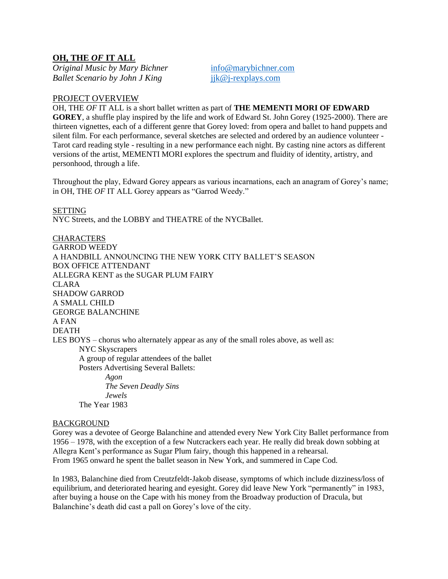# **OH, THE** *OF* **IT ALL**

*Original Music by Mary Bichner* [info@marybichner.com](mailto:info@marybichner.com) *Ballet Scenario by John J King* jik@j-rexplays.com

#### PROJECT OVERVIEW

OH, THE *OF* IT ALL is a short ballet written as part of **THE MEMENTI MORI OF EDWARD GOREY**, a shuffle play inspired by the life and work of Edward St. John Gorey (1925-2000). There are thirteen vignettes, each of a different genre that Gorey loved: from opera and ballet to hand puppets and silent film. For each performance, several sketches are selected and ordered by an audience volunteer - Tarot card reading style - resulting in a new performance each night. By casting nine actors as different versions of the artist, MEMENTI MORI explores the spectrum and fluidity of identity, artistry, and personhood, through a life.

Throughout the play, Edward Gorey appears as various incarnations, each an anagram of Gorey's name; in OH, THE *OF* IT ALL Gorey appears as "Garrod Weedy."

**SETTING** 

NYC Streets, and the LOBBY and THEATRE of the NYCBallet.

**CHARACTERS** GARROD WEEDY A HANDBILL ANNOUNCING THE NEW YORK CITY BALLET'S SEASON BOX OFFICE ATTENDANT ALLEGRA KENT as the SUGAR PLUM FAIRY CLARA SHADOW GARROD A SMALL CHILD GEORGE BALANCHINE A FAN DEATH LES BOYS – chorus who alternately appear as any of the small roles above, as well as: NYC Skyscrapers A group of regular attendees of the ballet Posters Advertising Several Ballets: *Agon The Seven Deadly Sins Jewels* The Year 1983

#### BACKGROUND

Gorey was a devotee of George Balanchine and attended every New York City Ballet performance from 1956 – 1978, with the exception of a few Nutcrackers each year. He really did break down sobbing at Allegra Kent's performance as Sugar Plum fairy, though this happened in a rehearsal. From 1965 onward he spent the ballet season in New York, and summered in Cape Cod.

In 1983, Balanchine died from Creutzfeldt-Jakob disease, symptoms of which include dizziness/loss of equilibrium, and deteriorated hearing and eyesight. Gorey did leave New York "permanently" in 1983, after buying a house on the Cape with his money from the Broadway production of Dracula, but Balanchine's death did cast a pall on Gorey's love of the city.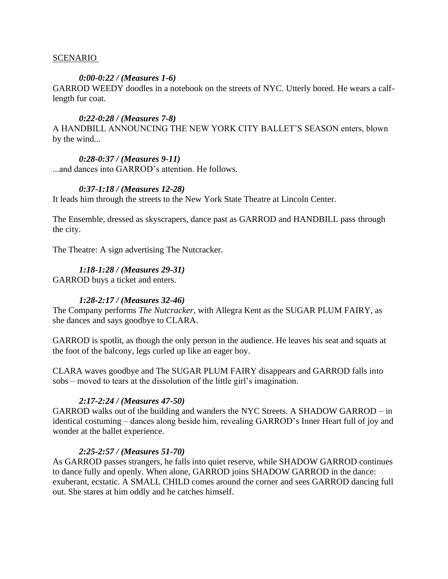### SCENARIO

### *0:00-0:22 / (Measures 1-6)*

GARROD WEEDY doodles in a notebook on the streets of NYC. Utterly bored. He wears a calflength fur coat.

### *0:22-0:28 / (Measures 7-8)*

A HANDBILL ANNOUNCING THE NEW YORK CITY BALLET'S SEASON enters, blown by the wind...

# *0:28-0:37 / (Measures 9-11)*

...and dances into GARROD's attention. He follows.

# *0:37-1:18 / (Measures 12-28)*

It leads him through the streets to the New York State Theatre at Lincoln Center.

The Ensemble, dressed as skyscrapers, dance past as GARROD and HANDBILL pass through the city.

The Theatre: A sign advertising The Nutcracker.

# *1:18-1:28 / (Measures 29-31)*

GARROD buys a ticket and enters.

# *1:28-2:17 / (Measures 32-46)*

The Company performs *The Nutcracker*, with Allegra Kent as the SUGAR PLUM FAIRY, as she dances and says goodbye to CLARA.

GARROD is spotlit, as though the only person in the audience. He leaves his seat and squats at the foot of the balcony, legs curled up like an eager boy.

CLARA waves goodbye and The SUGAR PLUM FAIRY disappears and GARROD falls into sobs – moved to tears at the dissolution of the little girl's imagination.

#### *2:17-2:24 / (Measures 47-50)*

GARROD walks out of the building and wanders the NYC Streets. A SHADOW GARROD – in identical costuming – dances along beside him, revealing GARROD's Inner Heart full of joy and wonder at the ballet experience.

#### *2:25-2:57 / (Measures 51-70)*

As GARROD passes strangers, he falls into quiet reserve, while SHADOW GARROD continues to dance fully and openly. When alone, GARROD joins SHADOW GARROD in the dance: exuberant, ecstatic. A SMALL CHILD comes around the corner and sees GARROD dancing full out. She stares at him oddly and he catches himself.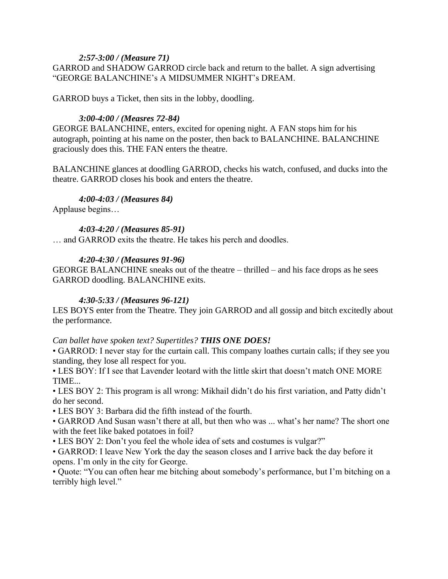# *2:57-3:00 / (Measure 71)*

GARROD and SHADOW GARROD circle back and return to the ballet. A sign advertising "GEORGE BALANCHINE's A MIDSUMMER NIGHT's DREAM.

GARROD buys a Ticket, then sits in the lobby, doodling.

# *3:00-4:00 / (Measres 72-84)*

GEORGE BALANCHINE, enters, excited for opening night. A FAN stops him for his autograph, pointing at his name on the poster, then back to BALANCHINE. BALANCHINE graciously does this. THE FAN enters the theatre.

BALANCHINE glances at doodling GARROD, checks his watch, confused, and ducks into the theatre. GARROD closes his book and enters the theatre.

# *4:00-4:03 / (Measures 84)*

Applause begins…

# *4:03-4:20 / (Measures 85-91)*

… and GARROD exits the theatre. He takes his perch and doodles.

# *4:20-4:30 / (Measures 91-96)*

GEORGE BALANCHINE sneaks out of the theatre – thrilled – and his face drops as he sees GARROD doodling. BALANCHINE exits.

# *4:30-5:33 / (Measures 96-121)*

LES BOYS enter from the Theatre. They join GARROD and all gossip and bitch excitedly about the performance.

# *Can ballet have spoken text? Supertitles? THIS ONE DOES!*

• GARROD: I never stay for the curtain call. This company loathes curtain calls; if they see you standing, they lose all respect for you.

• LES BOY: If I see that Lavender leotard with the little skirt that doesn't match ONE MORE TIME...

• LES BOY 2: This program is all wrong: Mikhail didn't do his first variation, and Patty didn't do her second.

• LES BOY 3: Barbara did the fifth instead of the fourth.

• GARROD And Susan wasn't there at all, but then who was ... what's her name? The short one with the feet like baked potatoes in foil?

• LES BOY 2: Don't you feel the whole idea of sets and costumes is vulgar?"

• GARROD: I leave New York the day the season closes and I arrive back the day before it opens. I'm only in the city for George.

• Quote: "You can often hear me bitching about somebody's performance, but I'm bitching on a terribly high level."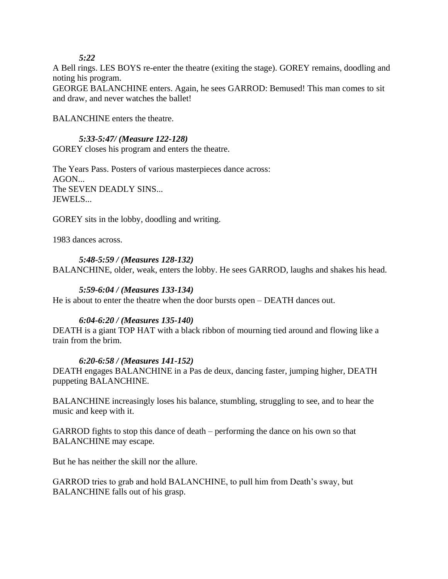*5:22*

A Bell rings. LES BOYS re-enter the theatre (exiting the stage). GOREY remains, doodling and noting his program.

GEORGE BALANCHINE enters. Again, he sees GARROD: Bemused! This man comes to sit and draw, and never watches the ballet!

BALANCHINE enters the theatre.

# *5:33-5:47/ (Measure 122-128)*

GOREY closes his program and enters the theatre.

The Years Pass. Posters of various masterpieces dance across:  $AGON...$ The SEVEN DEADLY SINS... JEWELS...

GOREY sits in the lobby, doodling and writing.

1983 dances across.

### *5:48-5:59 / (Measures 128-132)*

BALANCHINE, older, weak, enters the lobby. He sees GARROD, laughs and shakes his head.

### *5:59-6:04 / (Measures 133-134)*

He is about to enter the theatre when the door bursts open – DEATH dances out.

#### *6:04-6:20 / (Measures 135-140)*

DEATH is a giant TOP HAT with a black ribbon of mourning tied around and flowing like a train from the brim.

#### *6:20-6:58 / (Measures 141-152)*

DEATH engages BALANCHINE in a Pas de deux, dancing faster, jumping higher, DEATH puppeting BALANCHINE.

BALANCHINE increasingly loses his balance, stumbling, struggling to see, and to hear the music and keep with it.

GARROD fights to stop this dance of death – performing the dance on his own so that BALANCHINE may escape.

But he has neither the skill nor the allure.

GARROD tries to grab and hold BALANCHINE, to pull him from Death's sway, but BALANCHINE falls out of his grasp.